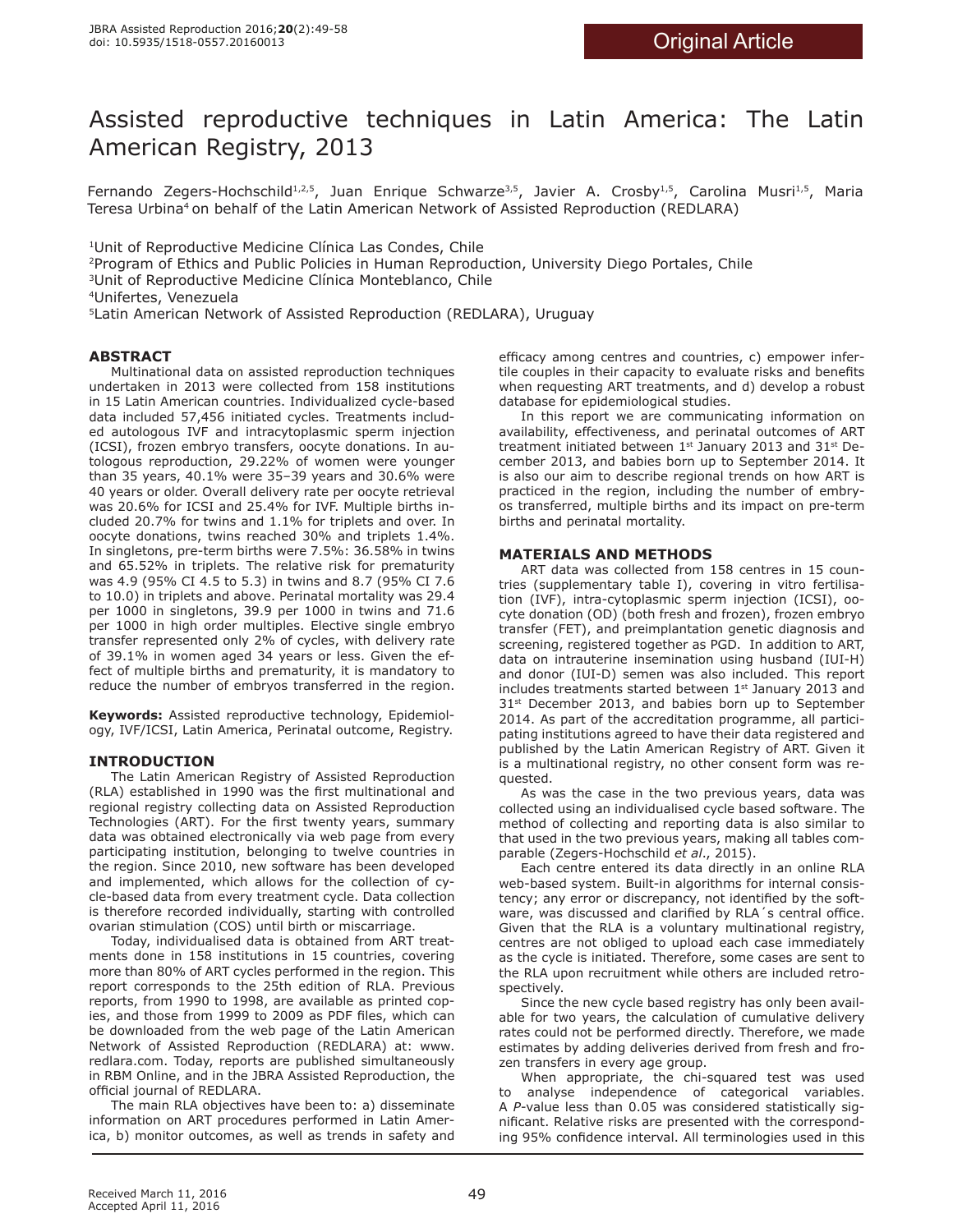# Assisted reproductive techniques in Latin America: The Latin American Registry, 2013

Fernando Zegers-Hochschild<sup>1,2,5</sup>, Juan Enrique Schwarze<sup>3,5</sup>, Javier A. Crosby<sup>1,5</sup>, Carolina Musri<sup>1,5</sup>, Maria Teresa Urbina<sup>4</sup> on behalf of the Latin American Network of Assisted Reproduction (REDLARA)

<sup>1</sup>Unit of Reproductive Medicine Clínica Las Condes, Chile

<sup>2</sup>Program of Ethics and Public Policies in Human Reproduction, University Diego Portales, Chile

3Unit of Reproductive Medicine Clínica Monteblanco, Chile

4Unifertes, Venezuela

5Latin American Network of Assisted Reproduction (REDLARA), Uruguay

# **ABSTRACT**

Multinational data on assisted reproduction techniques undertaken in 2013 were collected from 158 institutions in 15 Latin American countries. Individualized cycle-based data included 57,456 initiated cycles. Treatments included autologous IVF and intracytoplasmic sperm injection (ICSI), frozen embryo transfers, oocyte donations. In autologous reproduction, 29.22% of women were younger than 35 years, 40.1% were 35–39 years and 30.6% were 40 years or older. Overall delivery rate per oocyte retrieval was 20.6% for ICSI and 25.4% for IVF. Multiple births included 20.7% for twins and 1.1% for triplets and over. In oocyte donations, twins reached 30% and triplets 1.4%. In singletons, pre-term births were 7.5%: 36.58% in twins and 65.52% in triplets. The relative risk for prematurity was 4.9 (95% CI 4.5 to 5.3) in twins and 8.7 (95% CI 7.6 to 10.0) in triplets and above. Perinatal mortality was 29.4 per 1000 in singletons, 39.9 per 1000 in twins and 71.6 per 1000 in high order multiples. Elective single embryo transfer represented only 2% of cycles, with delivery rate of 39.1% in women aged 34 years or less. Given the effect of multiple births and prematurity, it is mandatory to reduce the number of embryos transferred in the region.

**Keywords:** Assisted reproductive technology, Epidemiology, IVF/ICSI, Latin America, Perinatal outcome, Registry.

# **INTRODUCTION**

The Latin American Registry of Assisted Reproduction (RLA) established in 1990 was the first multinational and regional registry collecting data on Assisted Reproduction Technologies (ART). For the first twenty years, summary data was obtained electronically via web page from every participating institution, belonging to twelve countries in the region. Since 2010, new software has been developed and implemented, which allows for the collection of cycle-based data from every treatment cycle. Data collection is therefore recorded individually, starting with controlled ovarian stimulation (COS) until birth or miscarriage.

Today, individualised data is obtained from ART treatments done in 158 institutions in 15 countries, covering more than 80% of ART cycles performed in the region. This report corresponds to the 25th edition of RLA. Previous reports, from 1990 to 1998, are available as printed copies, and those from 1999 to 2009 as PDF files, which can be downloaded from the web page of the Latin American Network of Assisted Reproduction (REDLARA) at: www. redlara.com. Today, reports are published simultaneously in RBM Online, and in the JBRA Assisted Reproduction, the official journal of REDLARA.

The main RLA objectives have been to: a) disseminate information on ART procedures performed in Latin America, b) monitor outcomes, as well as trends in safety and

efficacy among centres and countries, c) empower infertile couples in their capacity to evaluate risks and benefits when requesting ART treatments, and d) develop a robust database for epidemiological studies.

In this report we are communicating information on availability, effectiveness, and perinatal outcomes of ART treatment initiated between  $1<sup>st</sup>$  January 2013 and 31 $<sup>st</sup>$  De-</sup> cember 2013, and babies born up to September 2014. It is also our aim to describe regional trends on how ART is practiced in the region, including the number of embryos transferred, multiple births and its impact on pre-term births and perinatal mortality.

# **MATERIALS AND METHODS**

ART data was collected from 158 centres in 15 countries (supplementary table I), covering in vitro fertilisation (IVF), intra-cytoplasmic sperm injection (ICSI), oocyte donation (OD) (both fresh and frozen), frozen embryo transfer (FET), and preimplantation genetic diagnosis and screening, registered together as PGD. In addition to ART, data on intrauterine insemination using husband (IUI-H) and donor (IUI-D) semen was also included. This report includes treatments started between 1st January 2013 and 31<sup>st</sup> December 2013, and babies born up to September 2014. As part of the accreditation programme, all participating institutions agreed to have their data registered and published by the Latin American Registry of ART. Given it is a multinational registry, no other consent form was requested.

As was the case in the two previous years, data was collected using an individualised cycle based software. The method of collecting and reporting data is also similar to that used in the two previous years, making all tables comparable (Zegers-Hochschild *et al*., 2015).

Each centre entered its data directly in an online RLA web-based system. Built-in algorithms for internal consistency; any error or discrepancy, not identified by the software, was discussed and clarified by RLA´s central office. Given that the RLA is a voluntary multinational registry, centres are not obliged to upload each case immediately as the cycle is initiated. Therefore, some cases are sent to the RLA upon recruitment while others are included retrospectively.

Since the new cycle based registry has only been available for two years, the calculation of cumulative delivery rates could not be performed directly. Therefore, we made estimates by adding deliveries derived from fresh and frozen transfers in every age group.

When appropriate, the chi-squared test was used to analyse independence of categorical variables. A *P*-value less than 0.05 was considered statistically significant. Relative risks are presented with the corresponding 95% confidence interval. All terminologies used in this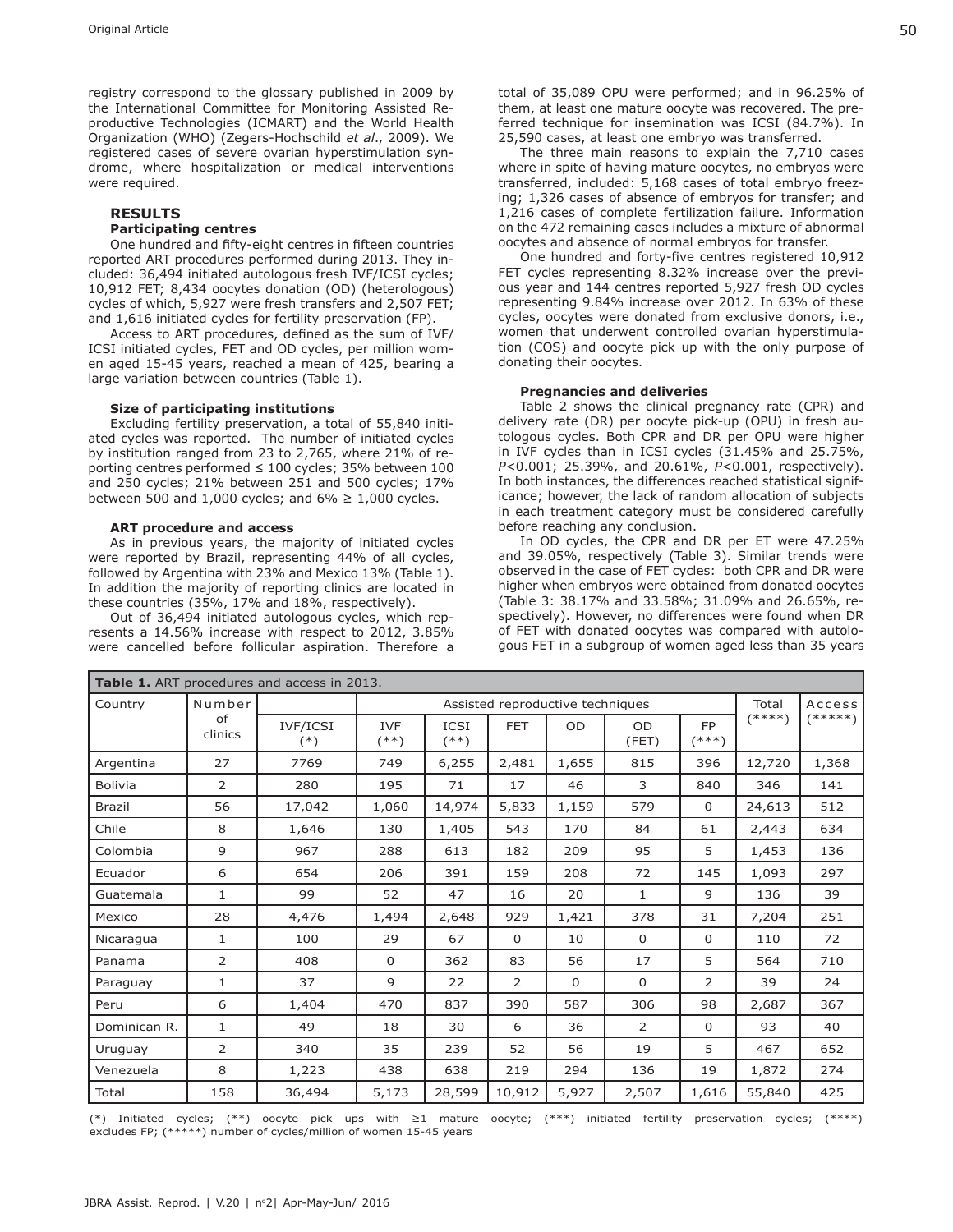registry correspond to the glossary published in 2009 by the International Committee for Monitoring Assisted Reproductive Technologies (ICMART) and the World Health Organization (WHO) (Zegers-Hochschild *et al*., 2009). We registered cases of severe ovarian hyperstimulation syndrome, where hospitalization or medical interventions were required.

# **RESULTS**

### **Participating centres**

One hundred and fifty-eight centres in fifteen countries reported ART procedures performed during 2013. They included: 36,494 initiated autologous fresh IVF/ICSI cycles; 10,912 FET; 8,434 oocytes donation (OD) (heterologous) cycles of which, 5,927 were fresh transfers and 2,507 FET; and 1,616 initiated cycles for fertility preservation (FP).

Access to ART procedures, defined as the sum of IVF/ ICSI initiated cycles, FET and OD cycles, per million women aged 15-45 years, reached a mean of 425, bearing a large variation between countries (Table 1).

#### **Size of participating institutions**

Excluding fertility preservation, a total of 55,840 initiated cycles was reported. The number of initiated cycles by institution ranged from 23 to 2,765, where 21% of reporting centres performed ≤ 100 cycles; 35% between 100 and 250 cycles; 21% between 251 and 500 cycles; 17% between 500 and 1,000 cycles; and  $6\% \ge 1,000$  cycles.

#### **ART procedure and access**

As in previous years, the majority of initiated cycles were reported by Brazil, representing 44% of all cycles, followed by Argentina with 23% and Mexico 13% (Table 1). In addition the majority of reporting clinics are located in these countries (35%, 17% and 18%, respectively).

Out of 36,494 initiated autologous cycles, which represents a 14.56% increase with respect to 2012, 3.85% were cancelled before follicular aspiration. Therefore a total of 35,089 OPU were performed; and in 96.25% of them, at least one mature oocyte was recovered. The preferred technique for insemination was ICSI (84.7%). In 25,590 cases, at least one embryo was transferred.

The three main reasons to explain the 7,710 cases where in spite of having mature oocytes, no embryos were transferred, included: 5,168 cases of total embryo freezing; 1,326 cases of absence of embryos for transfer; and 1,216 cases of complete fertilization failure. Information on the 472 remaining cases includes a mixture of abnormal oocytes and absence of normal embryos for transfer.

One hundred and forty-five centres registered 10,912 FET cycles representing 8.32% increase over the previous year and 144 centres reported 5,927 fresh OD cycles representing 9.84% increase over 2012. In 63% of these cycles, oocytes were donated from exclusive donors, i.e., women that underwent controlled ovarian hyperstimulation (COS) and oocyte pick up with the only purpose of donating their oocytes.

#### **Pregnancies and deliveries**

Table 2 shows the clinical pregnancy rate (CPR) and delivery rate (DR) per oocyte pick-up (OPU) in fresh autologous cycles. Both CPR and DR per OPU were higher in IVF cycles than in ICSI cycles (31.45% and 25.75%, *P*<0.001; 25.39%, and 20.61%, *P*<0.001, respectively). In both instances, the differences reached statistical significance; however, the lack of random allocation of subjects in each treatment category must be considered carefully before reaching any conclusion.

In OD cycles, the CPR and DR per ET were 47.25% and 39.05%, respectively (Table 3). Similar trends were observed in the case of FET cycles: both CPR and DR were higher when embryos were obtained from donated oocytes (Table 3: 38.17% and 33.58%; 31.09% and 26.65%, respectively). However, no differences were found when DR of FET with donated oocytes was compared with autologous FET in a subgroup of women aged less than 35 years

| <b>Table 1.</b> ART procedures and access in 2013. |               |                   |                      |              |                                  |             |                    |                      |          |           |
|----------------------------------------------------|---------------|-------------------|----------------------|--------------|----------------------------------|-------------|--------------------|----------------------|----------|-----------|
| Country                                            | Number        |                   |                      |              | Assisted reproductive techniques |             |                    |                      | Total    | Access    |
|                                                    | of<br>clinics | IVF/ICSI<br>$(*)$ | <b>IVF</b><br>$(**)$ | ICSI<br>(**) | <b>FET</b>                       | <b>OD</b>   | <b>OD</b><br>(FET) | <b>FP</b><br>$(***)$ | $(****)$ | $(*****)$ |
| Argentina                                          | 27            | 7769              | 749                  | 6,255        | 2,481                            | 1,655       | 815                | 396                  | 12,720   | 1,368     |
| <b>Bolivia</b>                                     | 2             | 280               | 195                  | 71           | 17                               | 46          | 3                  | 840                  | 346      | 141       |
| <b>Brazil</b>                                      | 56            | 17,042            | 1,060                | 14,974       | 5,833                            | 1,159       | 579                | $\Omega$             | 24,613   | 512       |
| Chile                                              | 8             | 1,646             | 130                  | 1,405        | 543                              | 170         | 84                 | 61                   | 2,443    | 634       |
| Colombia                                           | 9             | 967               | 288                  | 613          | 182                              | 209         | 95                 | 5                    | 1,453    | 136       |
| Ecuador                                            | 6             | 654               | 206                  | 391          | 159                              | 208         | 72                 | 145                  | 1,093    | 297       |
| Guatemala                                          | $\mathbf{1}$  | 99                | 52                   | 47           | 16                               | 20          | 1                  | 9                    | 136      | 39        |
| Mexico                                             | 28            | 4,476             | 1,494                | 2,648        | 929                              | 1,421       | 378                | 31                   | 7,204    | 251       |
| Nicaragua                                          | $\mathbf{1}$  | 100               | 29                   | 67           | $\mathbf 0$                      | 10          | $\mathbf 0$        | 0                    | 110      | 72        |
| Panama                                             | 2             | 408               | $\mathbf 0$          | 362          | 83                               | 56          | 17                 | 5                    | 564      | 710       |
| Paraguay                                           | $\mathbf{1}$  | 37                | 9                    | 22           | $\overline{2}$                   | $\mathbf 0$ | $\mathbf 0$        | $\overline{2}$       | 39       | 24        |
| Peru                                               | 6             | 1,404             | 470                  | 837          | 390                              | 587         | 306                | 98                   | 2,687    | 367       |
| Dominican R.                                       | $\mathbf{1}$  | 49                | 18                   | 30           | 6                                | 36          | $\overline{2}$     | $\Omega$             | 93       | 40        |
| Uruguay                                            | 2             | 340               | 35                   | 239          | 52                               | 56          | 19                 | 5                    | 467      | 652       |
| Venezuela                                          | 8             | 1,223             | 438                  | 638          | 219                              | 294         | 136                | 19                   | 1,872    | 274       |
| Total                                              | 158           | 36,494            | 5,173                | 28,599       | 10,912                           | 5,927       | 2,507              | 1,616                | 55,840   | 425       |

(\*) Initiated cycles; (\*\*) oocyte pick ups with ≥1 mature oocyte; (\*\*\*) initiated fertility preservation cycles; (\*\*\*\*) excludes FP; (\*\*\*\*\*) number of cycles/million of women 15-45 years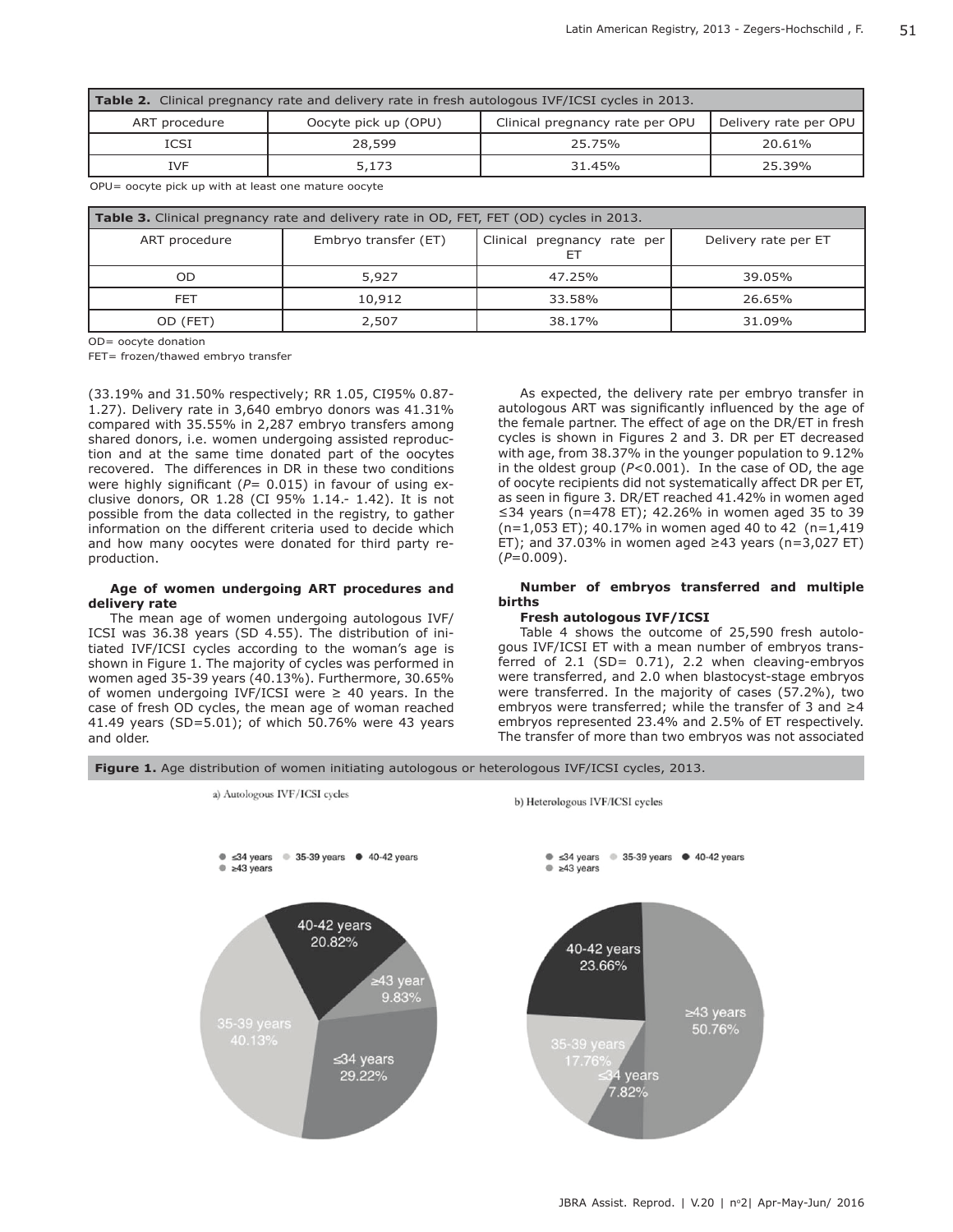| <b>Table 2.</b> Clinical pregnancy rate and delivery rate in fresh autologous IVF/ICSI cycles in 2013. |                      |                                                          |        |  |  |  |  |  |  |  |
|--------------------------------------------------------------------------------------------------------|----------------------|----------------------------------------------------------|--------|--|--|--|--|--|--|--|
| ART procedure                                                                                          | Oocyte pick up (OPU) | Clinical pregnancy rate per OPU<br>Delivery rate per OPU |        |  |  |  |  |  |  |  |
| <b>ICSI</b>                                                                                            | 28,599               | 25.75%                                                   | 20.61% |  |  |  |  |  |  |  |
| <b>IVF</b>                                                                                             | 5,173                | 31.45%                                                   | 25.39% |  |  |  |  |  |  |  |

OPU= oocyte pick up with at least one mature oocyte

| <b>Table 3.</b> Clinical pregnancy rate and delivery rate in OD, FET, FET (OD) cycles in 2013. |                      |                                   |                      |  |  |  |  |  |  |  |
|------------------------------------------------------------------------------------------------|----------------------|-----------------------------------|----------------------|--|--|--|--|--|--|--|
| ART procedure                                                                                  | Embryo transfer (ET) | Clinical pregnancy rate per<br>E٦ | Delivery rate per ET |  |  |  |  |  |  |  |
| OD                                                                                             | 5,927                | 47.25%                            | 39.05%               |  |  |  |  |  |  |  |
| FET                                                                                            | 10,912               | 33.58%                            | 26.65%               |  |  |  |  |  |  |  |
| OD (FET)                                                                                       | 2,507                | 38.17%                            | 31.09%               |  |  |  |  |  |  |  |

OD= oocyte donation

FET= frozen/thawed embryo transfer

(33.19% and 31.50% respectively; RR 1.05, CI95% 0.87- 1.27). Delivery rate in 3,640 embryo donors was 41.31% compared with 35.55% in 2,287 embryo transfers among shared donors, i.e. women undergoing assisted reproduction and at the same time donated part of the oocytes recovered. The differences in DR in these two conditions were highly significant (*P*= 0.015) in favour of using exclusive donors, OR 1.28 (CI 95% 1.14.- 1.42). It is not possible from the data collected in the registry, to gather information on the different criteria used to decide which and how many oocytes were donated for third party reproduction.

#### **Age of women undergoing ART procedures and delivery rate**

The mean age of women undergoing autologous IVF/ ICSI was 36.38 years (SD 4.55). The distribution of initiated IVF/ICSI cycles according to the woman's age is shown in Figure 1. The majority of cycles was performed in women aged 35-39 years (40.13%). Furthermore, 30.65% of women undergoing IVF/ICSI were  $\geq$  40 years. In the case of fresh OD cycles, the mean age of woman reached 41.49 years (SD=5.01); of which 50.76% were 43 years and older.

As expected, the delivery rate per embryo transfer in autologous ART was significantly influenced by the age of the female partner. The effect of age on the DR/ET in fresh cycles is shown in Figures 2 and 3. DR per ET decreased with age, from 38.37% in the younger population to 9.12% in the oldest group (*P*<0.001). In the case of OD, the age of oocyte recipients did not systematically affect DR per ET, as seen in figure 3. DR/ET reached 41.42% in women aged ≤34 years (n=478 ET); 42.26% in women aged 35 to 39 (n=1,053 ET); 40.17% in women aged 40 to 42 (n=1,419 ET); and 37.03% in women aged  $\geq$ 43 years (n=3,027 ET) (*P*=0.009).

### **Number of embryos transferred and multiple births**

#### **Fresh autologous IVF/ICSI**

Table 4 shows the outcome of 25,590 fresh autologous IVF/ICSI ET with a mean number of embryos transferred of  $2.1$  (SD=  $0.71$ ), 2.2 when cleaving-embryos were transferred, and 2.0 when blastocyst-stage embryos were transferred. In the majority of cases (57.2%), two embryos were transferred; while the transfer of 3 and ≥4 embryos represented 23.4% and 2.5% of ET respectively. The transfer of more than two embryos was not associated

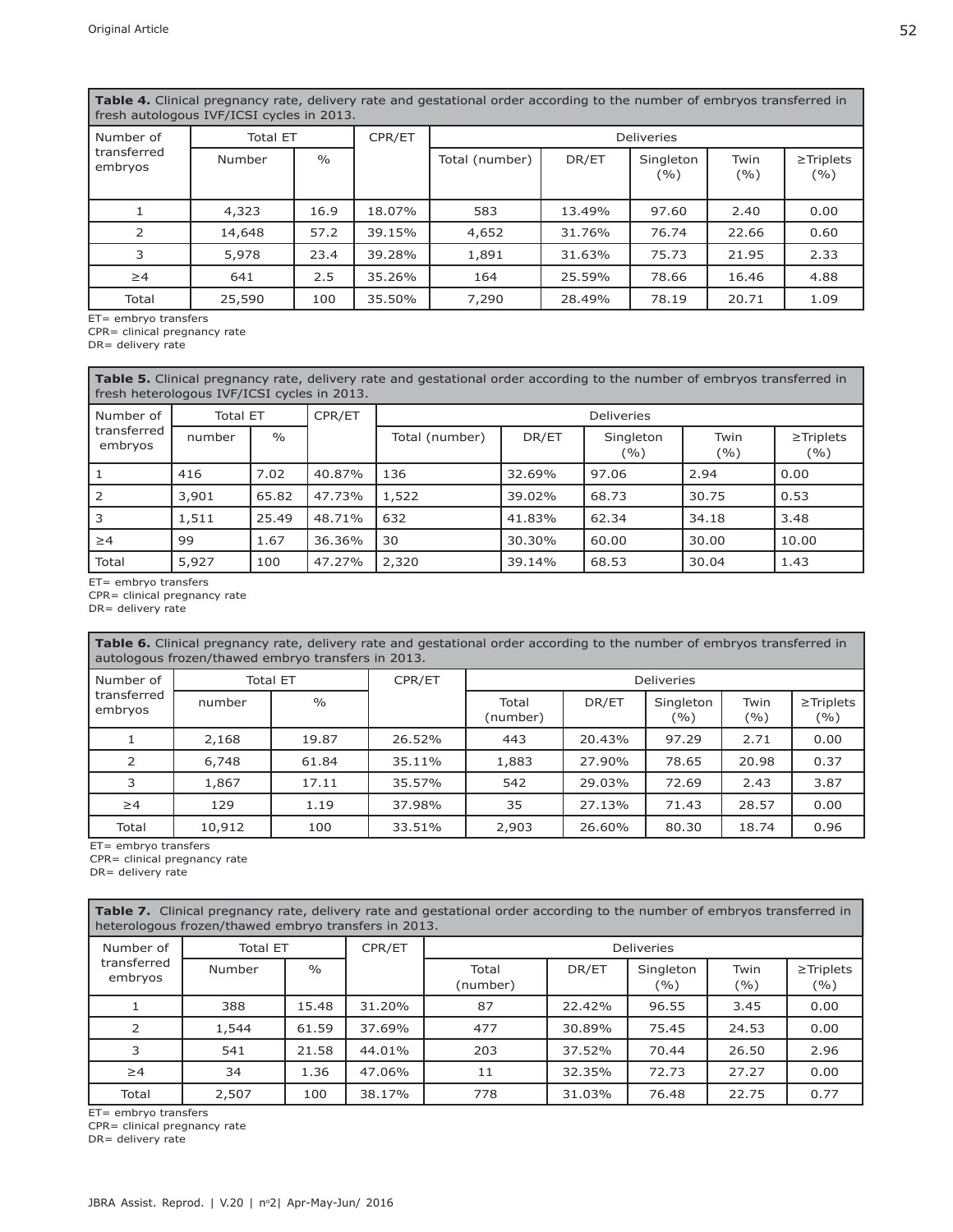**Table 4.** Clinical pregnancy rate, delivery rate and gestational order according to the number of embryos transferred in fresh autologous IVF/ICSI cycles in 2013.

| Number of              | <b>Total ET</b> |               | CPR/ET | Deliveries     |        |                  |             |                       |  |  |
|------------------------|-----------------|---------------|--------|----------------|--------|------------------|-------------|-----------------------|--|--|
| transferred<br>embryos | Number          | $\frac{0}{0}$ |        | Total (number) | DR/ET  | Singleton<br>(%) | Twin<br>(%) | $\ge$ Triplets<br>(%) |  |  |
|                        | 4,323           | 16.9          | 18.07% | 583            | 13.49% | 97.60            | 2.40        | 0.00                  |  |  |
| $\mathcal{P}$          | 14,648          | 57.2          | 39.15% | 4,652          | 31.76% | 76.74            | 22.66       | 0.60                  |  |  |
| 3                      | 5,978           | 23.4          | 39.28% | 1,891          | 31.63% | 75.73            | 21.95       | 2.33                  |  |  |
| $\geq 4$               | 641             | 2.5           | 35.26% | 164            | 25.59% | 78.66            | 16.46       | 4.88                  |  |  |
| Total                  | 25,590          | 100           | 35.50% | 7,290          | 28.49% | 78.19            | 20.71       | 1.09                  |  |  |

ET= embryo transfers

CPR= clinical pregnancy rate

DR= delivery rate

**Table 5.** Clinical pregnancy rate, delivery rate and gestational order according to the number of embryos transferred in fresh heterologous IVF/ICSI cycles in 2013.

| l Number of            | <b>Total ET</b> |               | CPR/ET | <b>Deliveries</b> |        |                  |             |                       |  |  |
|------------------------|-----------------|---------------|--------|-------------------|--------|------------------|-------------|-----------------------|--|--|
| transferred<br>embryos | number          | $\frac{0}{0}$ |        | Total (number)    | DR/ET  | Singleton<br>(%) | Twin<br>(%) | $\ge$ Triplets<br>(%) |  |  |
| l 1                    | 416             | 7.02          | 40.87% | 136               | 32.69% | 97.06            | 2.94        | 0.00                  |  |  |
| l 2                    | 3,901           | 65.82         | 47.73% | 1,522             | 39.02% | 68.73            | 30.75       | 0.53                  |  |  |
| 3                      | 1,511           | 25.49         | 48.71% | 632               | 41.83% | 62.34            | 34.18       | 3.48                  |  |  |
| $\geq 4$               | 99              | 1.67          | 36.36% | 30                | 30.30% | 60.00            | 30.00       | 10.00                 |  |  |
| Total                  | 5,927           | 100           | 47.27% | 2,320             | 39.14% | 68.53            | 30.04       | 1.43                  |  |  |

ET= embryo transfers

CPR= clinical pregnancy rate

DR= delivery rate

**Table 6.** Clinical pregnancy rate, delivery rate and gestational order according to the number of embryos transferred in autologous frozen/thawed embryo transfers in 2013.

| Number of              | <b>Total ET</b> |               | CPR/ET | <b>Deliveries</b> |        |                  |             |                       |  |
|------------------------|-----------------|---------------|--------|-------------------|--------|------------------|-------------|-----------------------|--|
| transferred<br>embryos | number          | $\frac{0}{0}$ |        | Total<br>(number) | DR/ET  | Singleton<br>(%) | Twin<br>(%) | $\ge$ Triplets<br>(%) |  |
|                        | 2,168           | 19.87         | 26.52% | 443               | 20.43% | 97.29            | 2.71        | 0.00                  |  |
| 2                      | 6,748           | 61.84         | 35.11% | 1,883             | 27.90% | 78.65            | 20.98       | 0.37                  |  |
| 3                      | 1,867           | 17.11         | 35.57% | 542               | 29.03% | 72.69            | 2.43        | 3.87                  |  |
| $\geq 4$               | 129             | 1.19          | 37.98% | 35                | 27.13% | 71.43            | 28.57       | 0.00                  |  |
| Total                  | 10,912          | 100           | 33.51% | 2,903             | 26.60% | 80.30            | 18.74       | 0.96                  |  |

ET= embryo transfers

CPR= clinical pregnancy rate

DR= delivery rate

Table 7. Clinical pregnancy rate, delivery rate and gestational order according to the number of embryos transferred in heterologous frozen/thawed embryo transfers in 2013.

| Number of              | <b>Total ET</b> |               | CPR/ET | <b>Deliveries</b> |        |                   |              |                       |  |
|------------------------|-----------------|---------------|--------|-------------------|--------|-------------------|--------------|-----------------------|--|
| transferred<br>embryos | Number          | $\frac{0}{0}$ |        | Total<br>(number) | DR/ET  | Singleton<br>( %) | Twin<br>( %) | $\ge$ Triplets<br>(%) |  |
|                        | 388             | 15.48         | 31.20% | 87                | 22.42% | 96.55             | 3.45         | 0.00                  |  |
| 2                      | 1,544           | 61.59         | 37.69% | 477               | 30.89% | 75.45             | 24.53        | 0.00                  |  |
| 3                      | 541             | 21.58         | 44.01% | 203               | 37.52% | 70.44             | 26.50        | 2.96                  |  |
| $\geq 4$               | 34              | 1.36          | 47.06% | 11                | 32.35% | 72.73             | 27.27        | 0.00                  |  |
| Total                  | 2,507           | 100           | 38.17% | 778               | 31.03% | 76.48             | 22.75        | 0.77                  |  |

ET= embryo transfers

CPR= clinical pregnancy rate

DR= delivery rate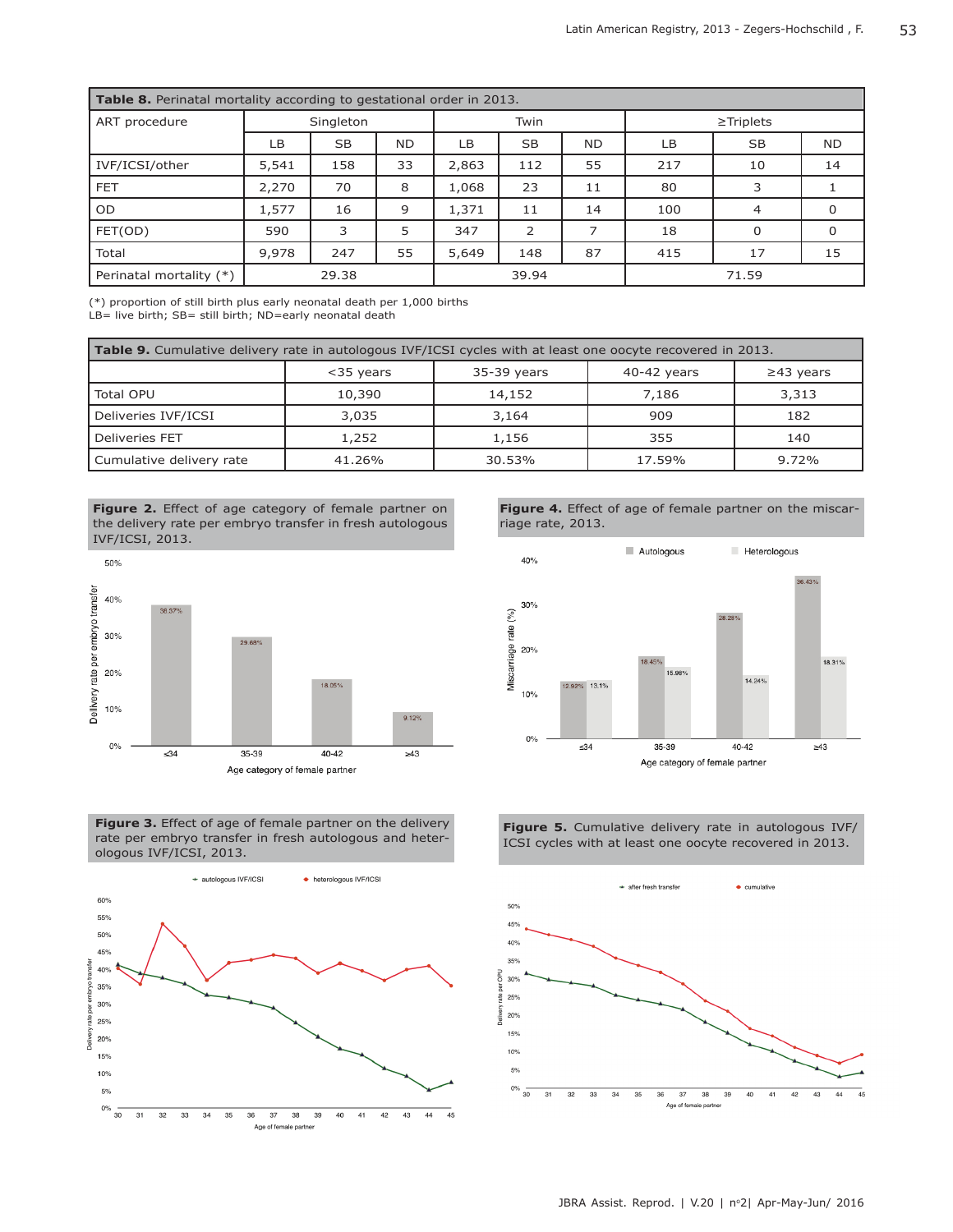| <b>Table 8.</b> Perinatal mortality according to gestational order in 2013. |           |           |           |       |                |           |                |                |           |  |  |
|-----------------------------------------------------------------------------|-----------|-----------|-----------|-------|----------------|-----------|----------------|----------------|-----------|--|--|
| ART procedure                                                               | Singleton |           |           | Twin  |                |           | $\ge$ Triplets |                |           |  |  |
|                                                                             | LB        | <b>SB</b> | <b>ND</b> | LB    | <b>SB</b>      | <b>ND</b> | LВ             | <b>SB</b>      | <b>ND</b> |  |  |
| IVF/ICSI/other                                                              | 5,541     | 158       | 33        | 2,863 | 112            | 55        | 217            | 10             | 14        |  |  |
| <b>FET</b>                                                                  | 2,270     | 70        | 8         | 1,068 | 23             | 11        | 80             | 3              |           |  |  |
| <b>OD</b>                                                                   | 1,577     | 16        | 9         | 1,371 | 11             | 14        | 100            | $\overline{4}$ | $\Omega$  |  |  |
| FET(OD)                                                                     | 590       | 3         | 5         | 347   | $\overline{2}$ |           | 18             | $\Omega$       | $\Omega$  |  |  |
| Total                                                                       | 9,978     | 247       | 55        | 5,649 | 148            | 87        | 415            | 17             | 15        |  |  |
| Perinatal mortality (*)                                                     | 29.38     |           |           | 39.94 |                |           | 71.59          |                |           |  |  |

(\*) proportion of still birth plus early neonatal death per 1,000 births LB= live birth; SB= still birth; ND=early neonatal death

| <b>Table 9.</b> Cumulative delivery rate in autologous IVF/ICSI cycles with at least one oocyte recovered in 2013. |              |                 |        |       |  |  |  |  |  |  |
|--------------------------------------------------------------------------------------------------------------------|--------------|-----------------|--------|-------|--|--|--|--|--|--|
|                                                                                                                    | $<$ 35 years | $\geq$ 43 years |        |       |  |  |  |  |  |  |
| Total OPU                                                                                                          | 10,390       | 14,152          | 7,186  | 3,313 |  |  |  |  |  |  |
| Deliveries IVF/ICSI                                                                                                | 3,035        | 3,164           | 909    | 182   |  |  |  |  |  |  |
| Deliveries FET                                                                                                     | 1,252        | 1,156           | 355    | 140   |  |  |  |  |  |  |
| Cumulative delivery rate                                                                                           | 41.26%       | 30.53%          | 17.59% | 9.72% |  |  |  |  |  |  |













**Figure 5.** Cumulative delivery rate in autologous IVF/ ICSI cycles with at least one oocyte recovered in 2013.

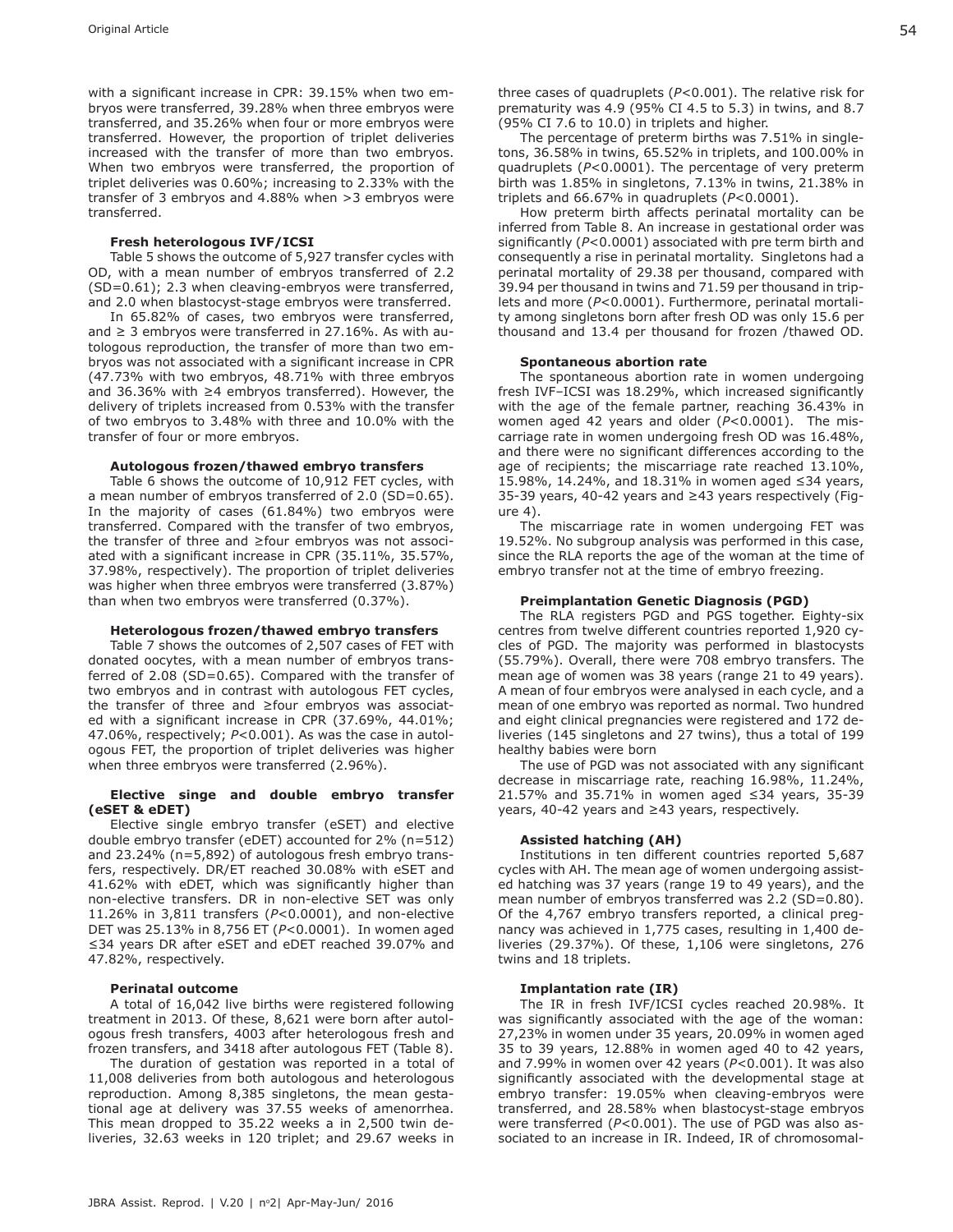with a significant increase in CPR: 39.15% when two embryos were transferred, 39.28% when three embryos were transferred, and 35.26% when four or more embryos were transferred. However, the proportion of triplet deliveries increased with the transfer of more than two embryos. When two embryos were transferred, the proportion of triplet deliveries was 0.60%; increasing to 2.33% with the transfer of 3 embryos and 4.88% when >3 embryos were transferred.

#### **Fresh heterologous IVF/ICSI**

Table 5 shows the outcome of 5,927 transfer cycles with OD, with a mean number of embryos transferred of 2.2 (SD=0.61); 2.3 when cleaving-embryos were transferred, and 2.0 when blastocyst-stage embryos were transferred.

In 65.82% of cases, two embryos were transferred, and  $\geq$  3 embryos were transferred in 27.16%. As with autologous reproduction, the transfer of more than two embryos was not associated with a significant increase in CPR (47.73% with two embryos, 48.71% with three embryos and 36.36% with ≥4 embryos transferred). However, the delivery of triplets increased from 0.53% with the transfer of two embryos to 3.48% with three and 10.0% with the transfer of four or more embryos.

#### **Autologous frozen/thawed embryo transfers**

Table 6 shows the outcome of 10,912 FET cycles, with a mean number of embryos transferred of 2.0 (SD=0.65). In the majority of cases (61.84%) two embryos were transferred. Compared with the transfer of two embryos, the transfer of three and ≥four embryos was not associated with a significant increase in CPR (35.11%, 35.57%, 37.98%, respectively). The proportion of triplet deliveries was higher when three embryos were transferred (3.87%) than when two embryos were transferred (0.37%).

#### **Heterologous frozen/thawed embryo transfers**

Table 7 shows the outcomes of 2,507 cases of FET with donated oocytes, with a mean number of embryos transferred of 2.08 (SD=0.65). Compared with the transfer of two embryos and in contrast with autologous FET cycles, the transfer of three and ≥four embryos was associated with a significant increase in CPR (37.69%, 44.01%; 47.06%, respectively; *P*<0.001). As was the case in autologous FET, the proportion of triplet deliveries was higher when three embryos were transferred (2.96%).

#### **Elective singe and double embryo transfer (eSET & eDET)**

Elective single embryo transfer (eSET) and elective double embryo transfer (eDET) accounted for 2% (n=512) and 23.24% (n=5,892) of autologous fresh embryo transfers, respectively. DR/ET reached 30.08% with eSET and 41.62% with eDET, which was significantly higher than non-elective transfers. DR in non-elective SET was only 11.26% in 3,811 transfers (*P*<0.0001), and non-elective DET was 25.13% in 8,756 ET (*P*<0.0001). In women aged ≤34 years DR after eSET and eDET reached 39.07% and 47.82%, respectively.

#### **Perinatal outcome**

A total of 16,042 live births were registered following treatment in 2013. Of these, 8,621 were born after autologous fresh transfers, 4003 after heterologous fresh and frozen transfers, and 3418 after autologous FET (Table 8).

The duration of gestation was reported in a total of 11,008 deliveries from both autologous and heterologous reproduction. Among 8,385 singletons, the mean gestational age at delivery was 37.55 weeks of amenorrhea. This mean dropped to 35.22 weeks a in 2,500 twin deliveries, 32.63 weeks in 120 triplet; and 29.67 weeks in three cases of quadruplets (*P*<0.001). The relative risk for prematurity was 4.9 (95% CI 4.5 to 5.3) in twins, and 8.7 (95% CI 7.6 to 10.0) in triplets and higher.

The percentage of preterm births was 7.51% in singletons, 36.58% in twins, 65.52% in triplets, and 100.00% in quadruplets (*P*<0.0001). The percentage of very preterm birth was 1.85% in singletons, 7.13% in twins, 21.38% in triplets and 66.67% in quadruplets (*P*<0.0001).

How preterm birth affects perinatal mortality can be inferred from Table 8. An increase in gestational order was significantly (*P*<0.0001) associated with pre term birth and consequently a rise in perinatal mortality. Singletons had a perinatal mortality of 29.38 per thousand, compared with 39.94 per thousand in twins and 71.59 per thousand in triplets and more (*P*<0.0001). Furthermore, perinatal mortality among singletons born after fresh OD was only 15.6 per thousand and 13.4 per thousand for frozen /thawed OD.

#### **Spontaneous abortion rate**

The spontaneous abortion rate in women undergoing fresh IVF–ICSI was 18.29%, which increased significantly with the age of the female partner, reaching 36.43% in women aged 42 years and older (*P*<0.0001). The miscarriage rate in women undergoing fresh OD was 16.48%, and there were no significant differences according to the age of recipients; the miscarriage rate reached 13.10%, 15.98%, 14.24%, and 18.31% in women aged ≤34 years, 35-39 years, 40-42 years and ≥43 years respectively (Figure 4).

The miscarriage rate in women undergoing FET was 19.52%. No subgroup analysis was performed in this case, since the RLA reports the age of the woman at the time of embryo transfer not at the time of embryo freezing.

#### **Preimplantation Genetic Diagnosis (PGD)**

The RLA registers PGD and PGS together. Eighty-six centres from twelve different countries reported 1,920 cycles of PGD. The majority was performed in blastocysts (55.79%). Overall, there were 708 embryo transfers. The mean age of women was 38 years (range 21 to 49 years). A mean of four embryos were analysed in each cycle, and a mean of one embryo was reported as normal. Two hundred and eight clinical pregnancies were registered and 172 deliveries (145 singletons and 27 twins), thus a total of 199 healthy babies were born

The use of PGD was not associated with any significant decrease in miscarriage rate, reaching 16.98%, 11.24%, 21.57% and 35.71% in women aged ≤34 years, 35-39 years, 40-42 years and ≥43 years, respectively.

#### **Assisted hatching (AH)**

Institutions in ten different countries reported 5,687 cycles with AH. The mean age of women undergoing assisted hatching was 37 years (range 19 to 49 years), and the mean number of embryos transferred was 2.2 (SD=0.80). Of the 4,767 embryo transfers reported, a clinical pregnancy was achieved in 1,775 cases, resulting in 1,400 deliveries (29.37%). Of these, 1,106 were singletons, 276 twins and 18 triplets.

#### **Implantation rate (IR)**

The IR in fresh IVF/ICSI cycles reached 20.98%. It was significantly associated with the age of the woman: 27,23% in women under 35 years, 20.09% in women aged 35 to 39 years, 12.88% in women aged 40 to 42 years, and 7.99% in women over 42 years (*P*<0.001). It was also significantly associated with the developmental stage at embryo transfer: 19.05% when cleaving-embryos were transferred, and 28.58% when blastocyst-stage embryos were transferred (*P*<0.001). The use of PGD was also associated to an increase in IR. Indeed, IR of chromosomal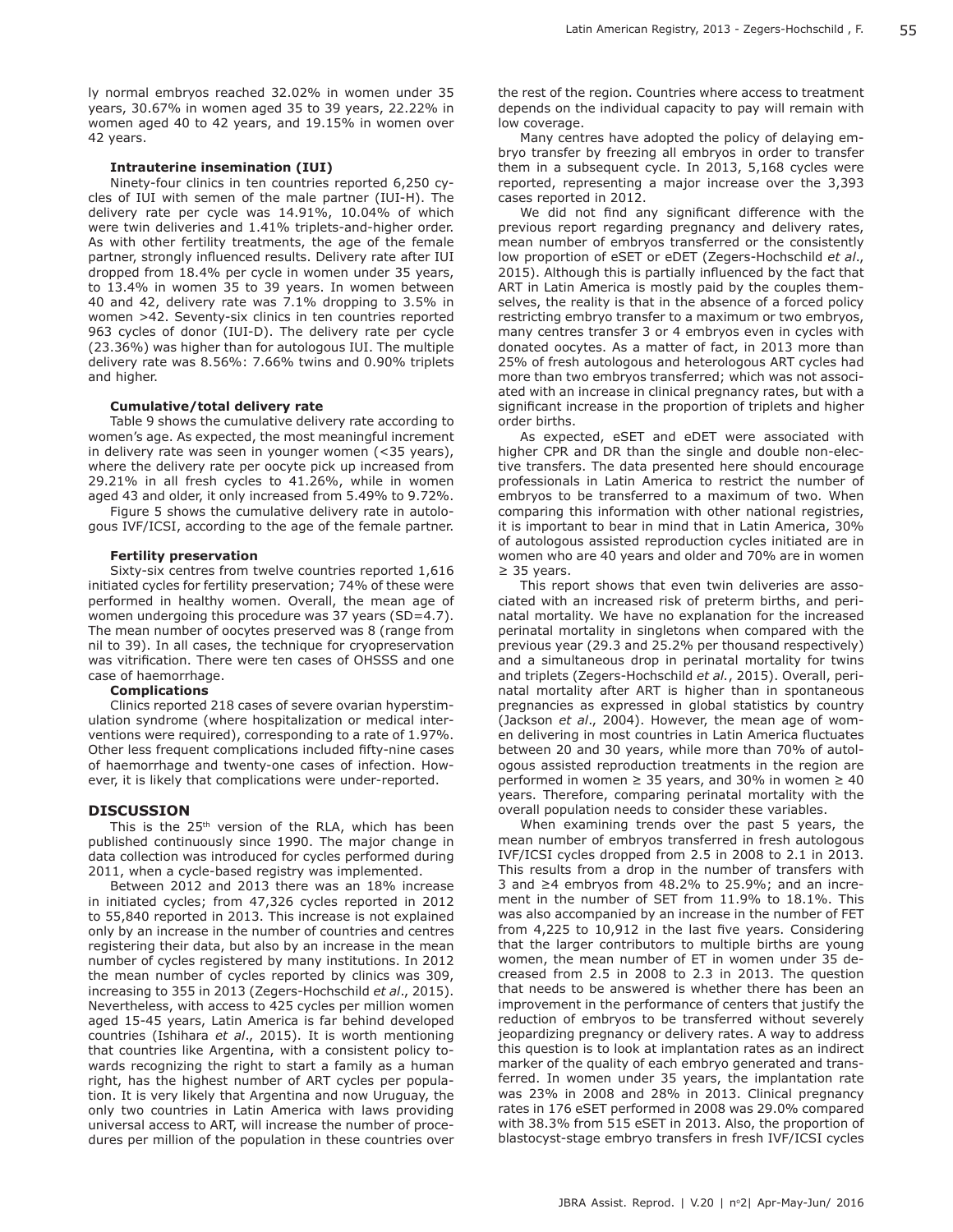ly normal embryos reached 32.02% in women under 35 years, 30.67% in women aged 35 to 39 years, 22.22% in women aged 40 to 42 years, and 19.15% in women over 42 years.

#### **Intrauterine insemination (IUI)**

Ninety-four clinics in ten countries reported 6,250 cycles of IUI with semen of the male partner (IUI-H). The delivery rate per cycle was 14.91%, 10.04% of which were twin deliveries and 1.41% triplets-and-higher order. As with other fertility treatments, the age of the female partner, strongly influenced results. Delivery rate after IUI dropped from 18.4% per cycle in women under 35 years, to 13.4% in women 35 to 39 years. In women between 40 and 42, delivery rate was 7.1% dropping to 3.5% in women >42. Seventy-six clinics in ten countries reported 963 cycles of donor (IUI-D). The delivery rate per cycle (23.36%) was higher than for autologous IUI. The multiple delivery rate was 8.56%: 7.66% twins and 0.90% triplets and higher.

#### **Cumulative/total delivery rate**

Table 9 shows the cumulative delivery rate according to women's age. As expected, the most meaningful increment in delivery rate was seen in younger women (<35 years), where the delivery rate per oocyte pick up increased from 29.21% in all fresh cycles to 41.26%, while in women aged 43 and older, it only increased from 5.49% to 9.72%.

Figure 5 shows the cumulative delivery rate in autologous IVF/ICSI, according to the age of the female partner.

#### **Fertility preservation**

Sixty-six centres from twelve countries reported 1,616 initiated cycles for fertility preservation; 74% of these were performed in healthy women. Overall, the mean age of women undergoing this procedure was 37 years (SD=4.7). The mean number of oocytes preserved was 8 (range from nil to 39). In all cases, the technique for cryopreservation was vitrification. There were ten cases of OHSSS and one case of haemorrhage.

# **Complications**

Clinics reported 218 cases of severe ovarian hyperstimulation syndrome (where hospitalization or medical interventions were required), corresponding to a rate of 1.97%. Other less frequent complications included fifty-nine cases of haemorrhage and twenty-one cases of infection. However, it is likely that complications were under-reported.

#### **DISCUSSION**

This is the  $25<sup>th</sup>$  version of the RLA, which has been published continuously since 1990. The major change in data collection was introduced for cycles performed during 2011, when a cycle-based registry was implemented.

Between 2012 and 2013 there was an 18% increase in initiated cycles; from 47,326 cycles reported in 2012 to 55,840 reported in 2013. This increase is not explained only by an increase in the number of countries and centres registering their data, but also by an increase in the mean number of cycles registered by many institutions. In 2012 the mean number of cycles reported by clinics was 309, increasing to 355 in 2013 (Zegers-Hochschild *et al*., 2015). Nevertheless, with access to 425 cycles per million women aged 15-45 years, Latin America is far behind developed countries (Ishihara *et al*., 2015). It is worth mentioning that countries like Argentina, with a consistent policy towards recognizing the right to start a family as a human right, has the highest number of ART cycles per population. It is very likely that Argentina and now Uruguay, the only two countries in Latin America with laws providing universal access to ART, will increase the number of procedures per million of the population in these countries over

the rest of the region. Countries where access to treatment depends on the individual capacity to pay will remain with low coverage.

Many centres have adopted the policy of delaying embryo transfer by freezing all embryos in order to transfer them in a subsequent cycle. In 2013, 5,168 cycles were reported, representing a major increase over the 3,393 cases reported in 2012.

We did not find any significant difference with the previous report regarding pregnancy and delivery rates, mean number of embryos transferred or the consistently low proportion of eSET or eDET (Zegers-Hochschild *et al*., 2015). Although this is partially influenced by the fact that ART in Latin America is mostly paid by the couples themselves, the reality is that in the absence of a forced policy restricting embryo transfer to a maximum or two embryos, many centres transfer 3 or 4 embryos even in cycles with donated oocytes. As a matter of fact, in 2013 more than 25% of fresh autologous and heterologous ART cycles had more than two embryos transferred; which was not associated with an increase in clinical pregnancy rates, but with a significant increase in the proportion of triplets and higher order births.

As expected, eSET and eDET were associated with higher CPR and DR than the single and double non-elective transfers. The data presented here should encourage professionals in Latin America to restrict the number of embryos to be transferred to a maximum of two. When comparing this information with other national registries, it is important to bear in mind that in Latin America, 30% of autologous assisted reproduction cycles initiated are in women who are 40 years and older and 70% are in women ≥ 35 years.

This report shows that even twin deliveries are associated with an increased risk of preterm births, and perinatal mortality. We have no explanation for the increased perinatal mortality in singletons when compared with the previous year (29.3 and 25.2% per thousand respectively) and a simultaneous drop in perinatal mortality for twins and triplets (Zegers-Hochschild *et al.*, 2015). Overall, perinatal mortality after ART is higher than in spontaneous pregnancies as expressed in global statistics by country (Jackson *et al*., 2004). However, the mean age of women delivering in most countries in Latin America fluctuates between 20 and 30 years, while more than 70% of autologous assisted reproduction treatments in the region are performed in women  $\geq$  35 years, and 30% in women  $\geq$  40 years. Therefore, comparing perinatal mortality with the overall population needs to consider these variables.

When examining trends over the past 5 years, the mean number of embryos transferred in fresh autologous IVF/ICSI cycles dropped from 2.5 in 2008 to 2.1 in 2013. This results from a drop in the number of transfers with 3 and ≥4 embryos from 48.2% to 25.9%; and an increment in the number of SET from 11.9% to 18.1%. This was also accompanied by an increase in the number of FET from 4,225 to 10,912 in the last five years. Considering that the larger contributors to multiple births are young women, the mean number of ET in women under 35 decreased from 2.5 in 2008 to 2.3 in 2013. The question that needs to be answered is whether there has been an improvement in the performance of centers that justify the reduction of embryos to be transferred without severely jeopardizing pregnancy or delivery rates. A way to address this question is to look at implantation rates as an indirect marker of the quality of each embryo generated and transferred. In women under 35 years, the implantation rate was 23% in 2008 and 28% in 2013. Clinical pregnancy rates in 176 eSET performed in 2008 was 29.0% compared with 38.3% from 515 eSET in 2013. Also, the proportion of blastocyst-stage embryo transfers in fresh IVF/ICSI cycles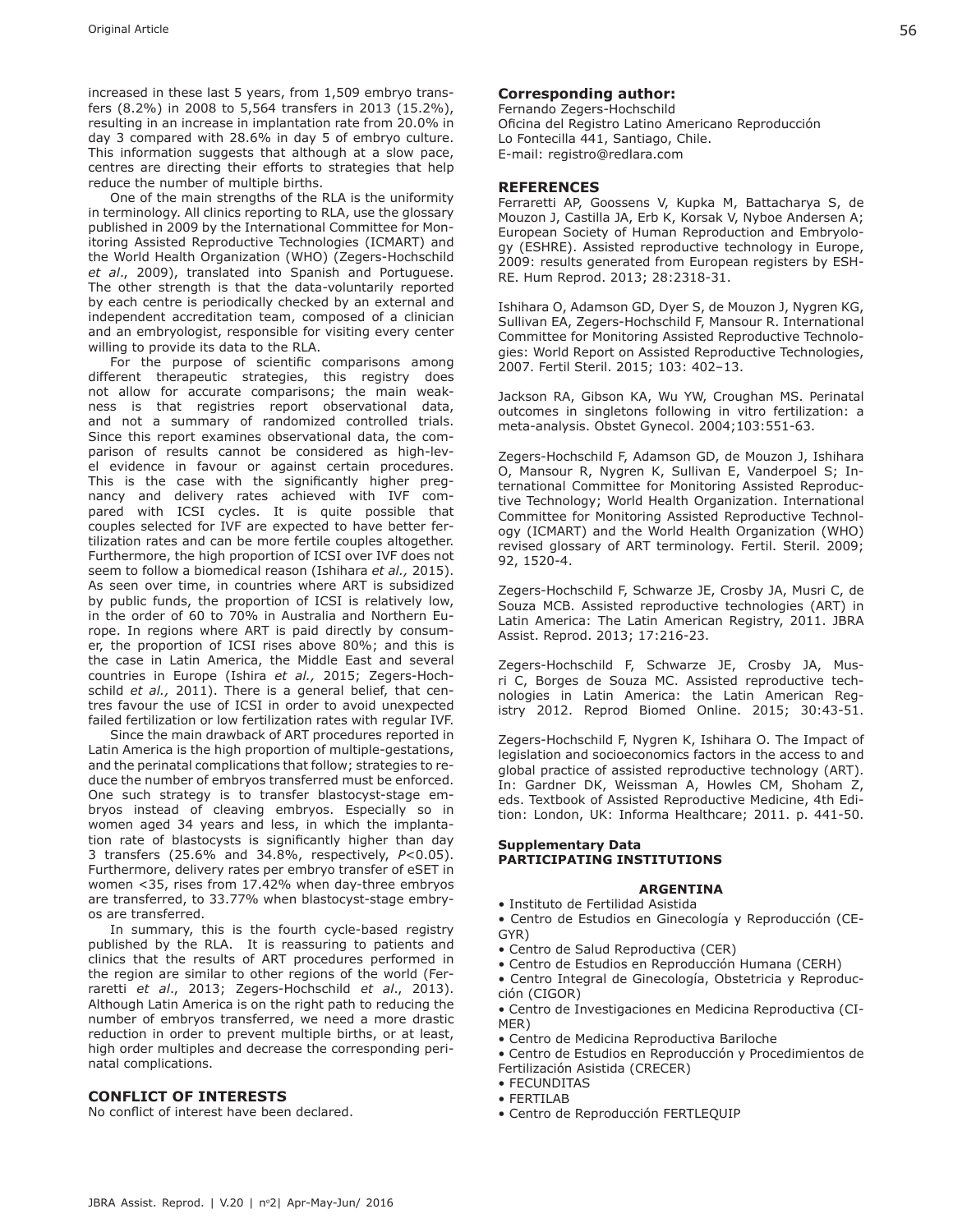increased in these last 5 years, from 1,509 embryo transfers (8.2%) in 2008 to 5,564 transfers in 2013 (15.2%), resulting in an increase in implantation rate from 20.0% in day 3 compared with 28.6% in day 5 of embryo culture. This information suggests that although at a slow pace, centres are directing their efforts to strategies that help reduce the number of multiple births.

One of the main strengths of the RLA is the uniformity in terminology. All clinics reporting to RLA, use the glossary published in 2009 by the International Committee for Monitoring Assisted Reproductive Technologies (ICMART) and the World Health Organization (WHO) (Zegers-Hochschild *et al*., 2009), translated into Spanish and Portuguese. The other strength is that the data-voluntarily reported by each centre is periodically checked by an external and independent accreditation team, composed of a clinician and an embryologist, responsible for visiting every center willing to provide its data to the RLA.

For the purpose of scientific comparisons among different therapeutic strategies, this registry does not allow for accurate comparisons; the main weakness is that registries report observational data, and not a summary of randomized controlled trials. Since this report examines observational data, the comparison of results cannot be considered as high-level evidence in favour or against certain procedures. This is the case with the significantly higher pregnancy and delivery rates achieved with IVF compared with ICSI cycles. It is quite possible that couples selected for IVF are expected to have better fertilization rates and can be more fertile couples altogether. Furthermore, the high proportion of ICSI over IVF does not seem to follow a biomedical reason (Ishihara *et al.,* 2015). As seen over time, in countries where ART is subsidized by public funds, the proportion of ICSI is relatively low, in the order of 60 to 70% in Australia and Northern Europe. In regions where ART is paid directly by consumer, the proportion of ICSI rises above 80%; and this is the case in Latin America, the Middle East and several countries in Europe (Ishira *et al.,* 2015; Zegers-Hochschild *et al.,* 2011). There is a general belief, that centres favour the use of ICSI in order to avoid unexpected failed fertilization or low fertilization rates with regular IVF.

Since the main drawback of ART procedures reported in Latin America is the high proportion of multiple-gestations, and the perinatal complications that follow; strategies to reduce the number of embryos transferred must be enforced. One such strategy is to transfer blastocyst-stage embryos instead of cleaving embryos. Especially so in women aged 34 years and less, in which the implantation rate of blastocysts is significantly higher than day 3 transfers (25.6% and 34.8%, respectively, *P*<0.05). Furthermore, delivery rates per embryo transfer of eSET in women <35, rises from 17.42% when day-three embryos are transferred, to 33.77% when blastocyst-stage embryos are transferred.

In summary, this is the fourth cycle-based registry published by the RLA. It is reassuring to patients and clinics that the results of ART procedures performed in the region are similar to other regions of the world (Ferraretti *et al*., 2013; Zegers-Hochschild *et al*., 2013). Although Latin America is on the right path to reducing the number of embryos transferred, we need a more drastic reduction in order to prevent multiple births, or at least, high order multiples and decrease the corresponding perinatal complications.

### **CONFLICT OF INTERESTS**

No conflict of interest have been declared.

# **Corresponding author:**

Fernando Zegers-Hochschild Oficina del Registro Latino Americano Reproducción Lo Fontecilla 441, Santiago, Chile. E-mail: registro@redlara.com

#### **REFERENCES**

Ferraretti AP, Goossens V, Kupka M, Battacharya S, de Mouzon J, Castilla JA, Erb K, Korsak V, Nyboe Andersen A; European Society of Human Reproduction and Embryology (ESHRE). Assisted reproductive technology in Europe, 2009: results generated from European registers by ESH-RE. Hum Reprod. 2013; 28:2318-31.

Ishihara O, Adamson GD, Dyer S, de Mouzon J, Nygren KG, Sullivan EA, Zegers-Hochschild F, Mansour R. International Committee for Monitoring Assisted Reproductive Technologies: World Report on Assisted Reproductive Technologies, 2007. Fertil Steril. 2015; 103: 402–13.

Jackson RA, Gibson KA, Wu YW, Croughan MS. Perinatal outcomes in singletons following in vitro fertilization: a meta-analysis. Obstet Gynecol. 2004;103:551-63.

Zegers-Hochschild F, Adamson GD, de Mouzon J, Ishihara O, Mansour R, Nygren K, Sullivan E, Vanderpoel S; International Committee for Monitoring Assisted Reproductive Technology; World Health Organization. International Committee for Monitoring Assisted Reproductive Technology (ICMART) and the World Health Organization (WHO) revised glossary of ART terminology. Fertil. Steril. 2009; 92, 1520-4.

Zegers-Hochschild F, Schwarze JE, Crosby JA, Musri C, de Souza MCB. Assisted reproductive technologies (ART) in Latin America: The Latin American Registry, 2011. JBRA Assist. Reprod. 2013; 17:216-23.

Zegers-Hochschild F, Schwarze JE, Crosby JA, Musri C, Borges de Souza MC. Assisted reproductive technologies in Latin America: the Latin American Registry 2012. Reprod Biomed Online. 2015; 30:43-51.

Zegers-Hochschild F, Nygren K, Ishihara O. The Impact of legislation and socioeconomics factors in the access to and global practice of assisted reproductive technology (ART). In: Gardner DK, Weissman A, Howles CM, Shoham Z, eds. Textbook of Assisted Reproductive Medicine, 4th Edition: London, UK: Informa Healthcare; 2011. p. 441-50.

### **Supplementary Data PARTICIPATING INSTITUTIONS**

#### **ARGENTINA**

• Instituto de Fertilidad Asistida

• Centro de Estudios en Ginecología y Reproducción (CE-GYR)

- Centro de Salud Reproductiva (CER)
- Centro de Estudios en Reproducción Humana (CERH)
- Centro Integral de Ginecología, Obstetricia y Reproducción (CIGOR)

• Centro de Investigaciones en Medicina Reproductiva (CI-MER)

- Centro de Medicina Reproductiva Bariloche
- Centro de Estudios en Reproducción y Procedimientos de Fertilización Asistida (CRECER)
- FECUNDITAS
- FERTILAB
- Centro de Reproducción FERTLEQUIP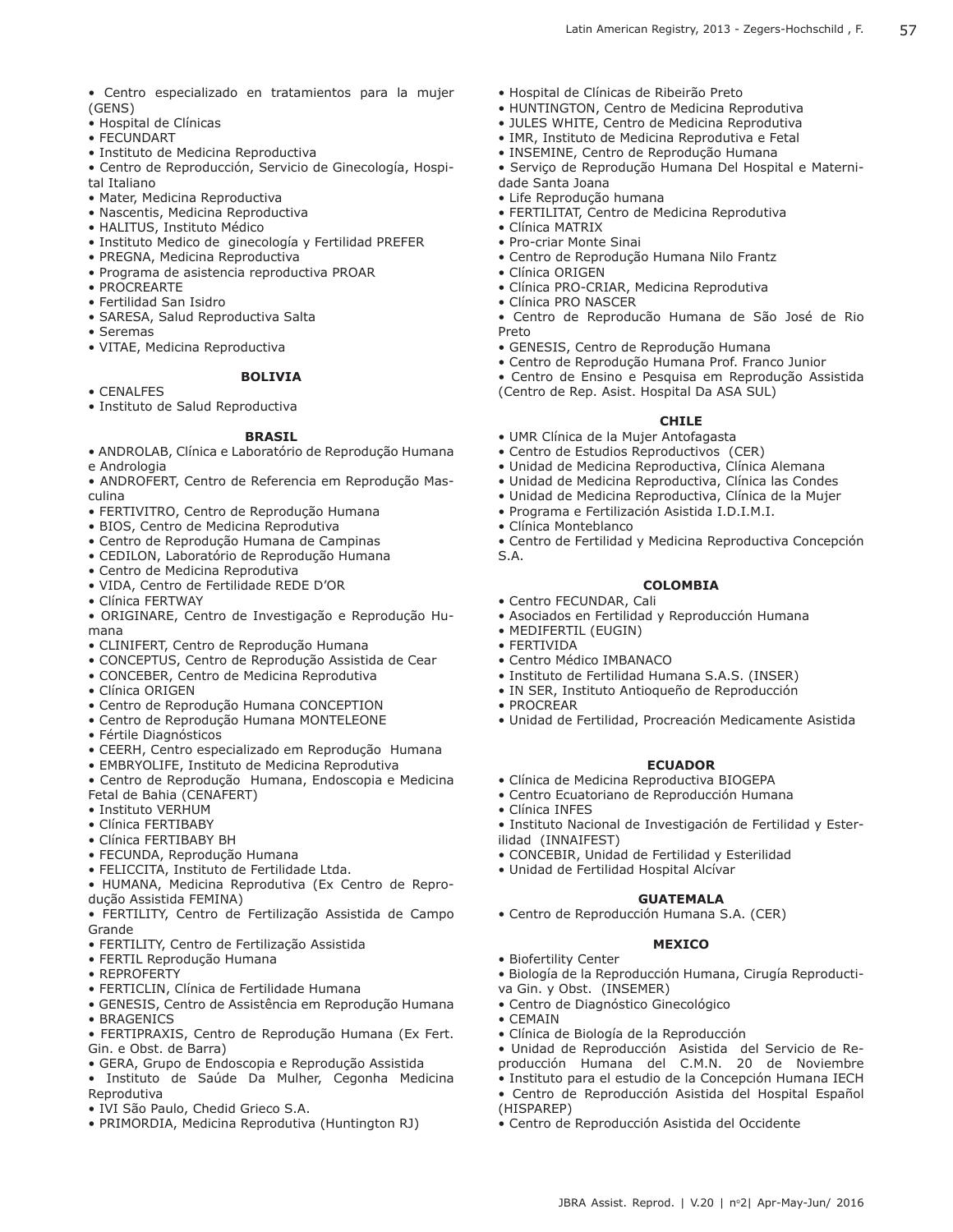- Centro especializado en tratamientos para la mujer (GENS)
- Hospital de Clínicas
- FECUNDART
- Instituto de Medicina Reproductiva
- Centro de Reproducción, Servicio de Ginecología, Hospital Italiano
- Mater, Medicina Reproductiva
- Nascentis, Medicina Reproductiva
- HALITUS, Instituto Médico
- Instituto Medico de ginecología y Fertilidad PREFER
- PREGNA, Medicina Reproductiva
- Programa de asistencia reproductiva PROAR
- PROCREARTE
- Fertilidad San Isidro
- SARESA, Salud Reproductiva Salta
- Seremas
- VITAE, Medicina Reproductiva

# **BOLIVIA**

• CENALFES • Instituto de Salud Reproductiva

# **BRASIL**

- ANDROLAB, Clínica e Laboratório de Reprodução Humana e Andrologia
- ANDROFERT, Centro de Referencia em Reprodução Masculina
- FERTIVITRO, Centro de Reprodução Humana
- BIOS, Centro de Medicina Reprodutiva
- Centro de Reprodução Humana de Campinas
- CEDILON, Laboratório de Reprodução Humana
- Centro de Medicina Reprodutiva
- VIDA, Centro de Fertilidade REDE D'OR
- Clínica FERTWAY
- ORIGINARE, Centro de Investigação e Reprodução Humana
- CLINIFERT, Centro de Reprodução Humana
- CONCEPTUS, Centro de Reprodução Assistida de Cear
- CONCEBER, Centro de Medicina Reprodutiva
- Clínica ORIGEN
- Centro de Reprodução Humana CONCEPTION
- Centro de Reprodução Humana MONTELEONE
- Fértile Diagnósticos
- CEERH, Centro especializado em Reprodução Humana
- EMBRYOLIFE, Instituto de Medicina Reprodutiva
- Centro de Reprodução Humana, Endoscopia e Medicina Fetal de Bahia (CENAFERT)
- Instituto VERHUM
- Clínica FERTIBABY
- Clínica FERTIBABY BH
- FECUNDA, Reprodução Humana
- FELICCITA, Instituto de Fertilidade Ltda.
- HUMANA, Medicina Reprodutiva (Ex Centro de Reprodução Assistida FEMINA)
- FERTILITY, Centro de Fertilização Assistida de Campo Grande
- FERTILITY, Centro de Fertilização Assistida
- FERTIL Reprodução Humana
- REPROFERTY
- FERTICLIN, Clínica de Fertilidade Humana
- GENESIS, Centro de Assistência em Reprodução Humana • BRAGENICS
- FERTIPRAXIS, Centro de Reprodução Humana (Ex Fert. Gin. e Obst. de Barra)
- GERA, Grupo de Endoscopia e Reprodução Assistida
- Instituto de Saúde Da Mulher, Cegonha Medicina Reprodutiva
- IVI São Paulo, Chedid Grieco S.A.
- PRIMORDIA, Medicina Reprodutiva (Huntington RJ)
- Hospital de Clínicas de Ribeirão Preto
- HUNTINGTON, Centro de Medicina Reprodutiva
- JULES WHITE, Centro de Medicina Reprodutiva
- IMR, Instituto de Medicina Reprodutiva e Fetal
- INSEMINE, Centro de Reprodução Humana
- Serviço de Reprodução Humana Del Hospital e Maternidade Santa Joana
- Life Reprodução humana
- FERTILITAT, Centro de Medicina Reprodutiva
- Clínica MATRIX
- Pro-criar Monte Sinai
- Centro de Reprodução Humana Nilo Frantz
- Clínica ORIGEN
- Clínica PRO-CRIAR, Medicina Reprodutiva
- Clínica PRO NASCER
- Centro de Reproducão Humana de São José de Rio Preto
- GENESIS, Centro de Reprodução Humana
- Centro de Reprodução Humana Prof. Franco Junior
- Centro de Ensino e Pesquisa em Reprodução Assistida
- (Centro de Rep. Asist. Hospital Da ASA SUL)

# **CHILE**

- UMR Clínica de la Mujer Antofagasta
- Centro de Estudios Reproductivos (CER)
- Unidad de Medicina Reproductiva, Clínica Alemana
- Unidad de Medicina Reproductiva, Clínica las Condes
- Unidad de Medicina Reproductiva, Clínica de la Mujer
- Programa e Fertilización Asistida I.D.I.M.I.
- Clínica Monteblanco
- Centro de Fertilidad y Medicina Reproductiva Concepción S.A.
- 

# **COLOMBIA**

- Centro FECUNDAR, Cali
- Asociados en Fertilidad y Reproducción Humana
- MEDIFERTIL (EUGIN)
- FERTIVIDA
- Centro Médico IMBANACO
- Instituto de Fertilidad Humana S.A.S. (INSER)
- IN SER, Instituto Antioqueño de Reproducción
- PROCREAR
- Unidad de Fertilidad, Procreación Medicamente Asistida

# **ECUADOR**

**GUATEMALA**

**MEXICO**

• Biología de la Reproducción Humana, Cirugía Reproducti-

• Unidad de Reproducción Asistida del Servicio de Reproducción Humana del C.M.N. 20 de Noviembre • Instituto para el estudio de la Concepción Humana IECH • Centro de Reproducción Asistida del Hospital Español

JBRA Assist. Reprod. | V.20 | nº2| Apr-May-Jun/ 2016

- Clínica de Medicina Reproductiva BIOGEPA
- Centro Ecuatoriano de Reproducción Humana

• CONCEBIR, Unidad de Fertilidad y Esterilidad

• Centro de Reproducción Humana S.A. (CER)

• Unidad de Fertilidad Hospital Alcívar

• Centro de Diagnóstico Ginecológico

• Clínica de Biología de la Reproducción

• Centro de Reproducción Asistida del Occidente

• Clínica INFES • Instituto Nacional de Investigación de Fertilidad y Ester-

ilidad (INNAIFEST)

• Biofertility Center

• CEMAIN

(HISPAREP)

va Gin. y Obst. (INSEMER)